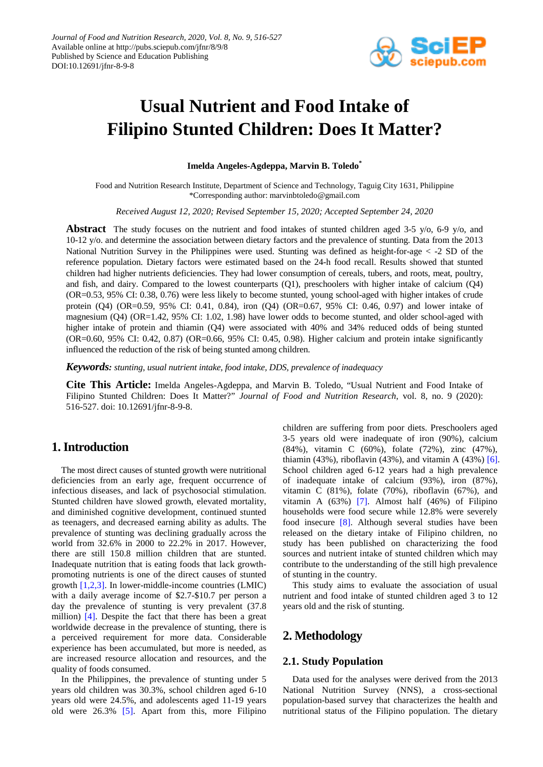

# **Usual Nutrient and Food Intake of Filipino Stunted Children: Does It Matter?**

**Imelda Angeles-Agdeppa, Marvin B. Toledo\***

Food and Nutrition Research Institute, Department of Science and Technology, Taguig City 1631, Philippine \*Corresponding author: marvinbtoledo@gmail.com

*Received August 12, 2020; Revised September 15, 2020; Accepted September 24, 2020*

**Abstract** The study focuses on the nutrient and food intakes of stunted children aged 3-5 y/o, 6-9 y/o, and 10-12 y/o. and determine the association between dietary factors and the prevalence of stunting. Data from the 2013 National Nutrition Survey in the Philippines were used. Stunting was defined as height-for-age < -2 SD of the reference population. Dietary factors were estimated based on the 24-h food recall. Results showed that stunted children had higher nutrients deficiencies. They had lower consumption of cereals, tubers, and roots, meat, poultry, and fish, and dairy. Compared to the lowest counterparts (Q1), preschoolers with higher intake of calcium (Q4) (OR=0.53, 95% CI: 0.38, 0.76) were less likely to become stunted, young school-aged with higher intakes of crude protein (Q4) (OR=0.59, 95% CI: 0.41, 0.84), iron (Q4) (OR=0.67, 95% CI: 0.46, 0.97) and lower intake of magnesium (Q4) (OR=1.42, 95% CI: 1.02, 1.98) have lower odds to become stunted, and older school-aged with higher intake of protein and thiamin (Q4) were associated with 40% and 34% reduced odds of being stunted (OR=0.60, 95% CI: 0.42, 0.87) (OR=0.66, 95% CI: 0.45, 0.98). Higher calcium and protein intake significantly influenced the reduction of the risk of being stunted among children.

*Keywords: stunting, usual nutrient intake, food intake, DDS, prevalence of inadequacy*

**Cite This Article:** Imelda Angeles-Agdeppa, and Marvin B. Toledo, "Usual Nutrient and Food Intake of Filipino Stunted Children: Does It Matter?" *Journal of Food and Nutrition Research*, vol. 8, no. 9 (2020): 516-527. doi: 10.12691/jfnr-8-9-8.

# **1. Introduction**

The most direct causes of stunted growth were nutritional deficiencies from an early age, frequent occurrence of infectious diseases, and lack of psychosocial stimulation. Stunted children have slowed growth, elevated mortality, and diminished cognitive development, continued stunted as teenagers, and decreased earning ability as adults. The prevalence of stunting was declining gradually across the world from 32.6% in 2000 to 22.2% in 2017. However, there are still 150.8 million children that are stunted. Inadequate nutrition that is eating foods that lack growthpromoting nutrients is one of the direct causes of stunted growth [\[1,2,3\].](#page-9-0) In lower-middle-income countries (LMIC) with a daily average income of \$2.7-\$10.7 per person a day the prevalence of stunting is very prevalent (37.8 million) [\[4\].](#page-9-1) Despite the fact that there has been a great worldwide decrease in the prevalence of stunting, there is a perceived requirement for more data. Considerable experience has been accumulated, but more is needed, as are increased resource allocation and resources, and the quality of foods consumed.

In the Philippines, the prevalence of stunting under 5 years old children was 30.3%, school children aged 6-10 years old were 24.5%, and adolescents aged 11-19 years old were 26.3% [\[5\].](#page-9-2) Apart from this, more Filipino

children are suffering from poor diets. Preschoolers aged 3-5 years old were inadequate of iron (90%), calcium (84%), vitamin C (60%), folate (72%), zinc (47%), thiamin (43%), riboflavin (43%), and vitamin A (43%) [\[6\].](#page-9-3) School children aged 6-12 years had a high prevalence of inadequate intake of calcium (93%), iron (87%), vitamin C (81%), folate (70%), riboflavin (67%), and vitamin A (63%) [\[7\].](#page-9-4) Almost half (46%) of Filipino households were food secure while 12.8% were severely food insecure [\[8\].](#page-9-5) Although several studies have been released on the dietary intake of Filipino children, no study has been published on characterizing the food sources and nutrient intake of stunted children which may contribute to the understanding of the still high prevalence of stunting in the country.

This study aims to evaluate the association of usual nutrient and food intake of stunted children aged 3 to 12 years old and the risk of stunting.

# **2. Methodology**

### **2.1. Study Population**

Data used for the analyses were derived from the 2013 National Nutrition Survey (NNS), a cross-sectional population-based survey that characterizes the health and nutritional status of the Filipino population. The dietary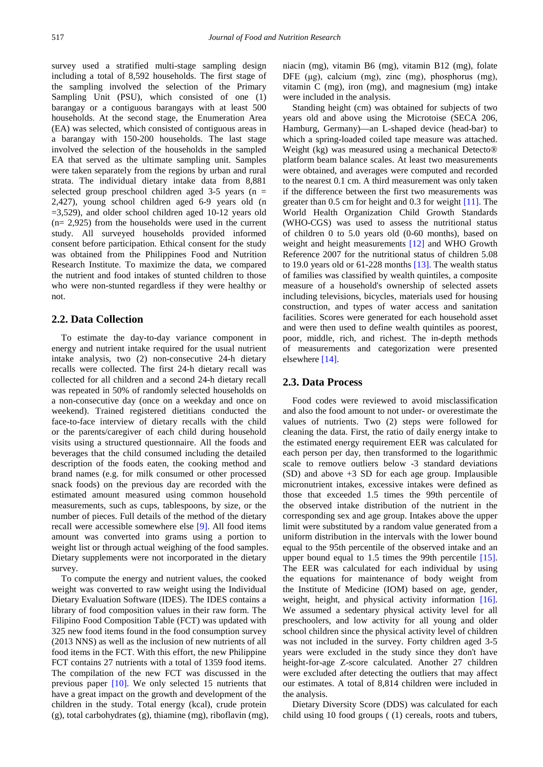survey used a stratified multi-stage sampling design including a total of 8,592 households. The first stage of the sampling involved the selection of the Primary Sampling Unit (PSU), which consisted of one (1) barangay or a contiguous barangays with at least 500 households. At the second stage, the Enumeration Area (EA) was selected, which consisted of contiguous areas in a barangay with 150-200 households. The last stage involved the selection of the households in the sampled EA that served as the ultimate sampling unit. Samples were taken separately from the regions by urban and rural strata. The individual dietary intake data from 8,881 selected group preschool children aged  $3-5$  years (n = 2,427), young school children aged 6-9 years old (n  $=3,529$ ), and older school children aged 10-12 years old (n= 2,925) from the households were used in the current study. All surveyed households provided informed consent before participation. Ethical consent for the study was obtained from the Philippines Food and Nutrition Research Institute. To maximize the data, we compared the nutrient and food intakes of stunted children to those who were non-stunted regardless if they were healthy or not.

### **2.2. Data Collection**

To estimate the day-to-day variance component in energy and nutrient intake required for the usual nutrient intake analysis, two (2) non-consecutive 24-h dietary recalls were collected. The first 24-h dietary recall was collected for all children and a second 24-h dietary recall was repeated in 50% of randomly selected households on a non-consecutive day (once on a weekday and once on weekend). Trained registered dietitians conducted the face-to-face interview of dietary recalls with the child or the parents/caregiver of each child during household visits using a structured questionnaire. All the foods and beverages that the child consumed including the detailed description of the foods eaten, the cooking method and brand names (e.g. for milk consumed or other processed snack foods) on the previous day are recorded with the estimated amount measured using common household measurements, such as cups, tablespoons, by size, or the number of pieces. Full details of the method of the dietary recall were accessible somewhere else [\[9\].](#page-9-6) All food items amount was converted into grams using a portion to weight list or through actual weighing of the food samples. Dietary supplements were not incorporated in the dietary survey.

To compute the energy and nutrient values, the cooked weight was converted to raw weight using the Individual Dietary Evaluation Software (IDES). The IDES contains a library of food composition values in their raw form. The Filipino Food Composition Table (FCT) was updated with 325 new food items found in the food consumption survey (2013 NNS) as well as the inclusion of new nutrients of all food items in the FCT. With this effort, the new Philippine FCT contains 27 nutrients with a total of 1359 food items. The compilation of the new FCT was discussed in the previous paper [\[10\].](#page-9-7) We only selected 15 nutrients that have a great impact on the growth and development of the children in the study. Total energy (kcal), crude protein (g), total carbohydrates (g), thiamine (mg), riboflavin (mg), niacin (mg), vitamin B6 (mg), vitamin B12 (mg), folate DFE (μg), calcium (mg), zinc (mg), phosphorus (mg), vitamin C (mg), iron (mg), and magnesium (mg) intake were included in the analysis.

Standing height (cm) was obtained for subjects of two years old and above using the Microtoise (SECA 206, Hamburg, Germany)—an L-shaped device (head-bar) to which a spring-loaded coiled tape measure was attached. Weight (kg) was measured using a mechanical Detecto® platform beam balance scales. At least two measurements were obtained, and averages were computed and recorded to the nearest 0.1 cm. A third measurement was only taken if the difference between the first two measurements was greater than 0.5 cm for height and 0.3 for weight [\[11\].](#page-9-8) The World Health Organization Child Growth Standards (WHO-CGS) was used to assess the nutritional status of children 0 to 5.0 years old (0-60 months), based on weight and height measurements [\[12\]](#page-9-9) and WHO Growth Reference 2007 for the nutritional status of children 5.08 to 19.0 years old or  $61-228$  months  $[13]$ . The wealth status of families was classified by wealth quintiles, a composite measure of a household's ownership of selected assets including televisions, bicycles, materials used for housing construction, and types of water access and sanitation facilities. Scores were generated for each household asset and were then used to define wealth quintiles as poorest, poor, middle, rich, and richest. The in-depth methods of measurements and categorization were presented elsewher[e \[14\].](#page-9-11)

### **2.3. Data Process**

Food codes were reviewed to avoid misclassification and also the food amount to not under- or overestimate the values of nutrients. Two (2) steps were followed for cleaning the data. First, the ratio of daily energy intake to the estimated energy requirement EER was calculated for each person per day, then transformed to the logarithmic scale to remove outliers below -3 standard deviations (SD) and above +3 SD for each age group. Implausible micronutrient intakes, excessive intakes were defined as those that exceeded 1.5 times the 99th percentile of the observed intake distribution of the nutrient in the corresponding sex and age group. Intakes above the upper limit were substituted by a random value generated from a uniform distribution in the intervals with the lower bound equal to the 95th percentile of the observed intake and an upper bound equal to 1.5 times the 99th percentile [\[15\].](#page-9-12) The EER was calculated for each individual by using the equations for maintenance of body weight from the Institute of Medicine (IOM) based on age, gender, weight, height, and physical activity information [\[16\].](#page-9-13) We assumed a sedentary physical activity level for all preschoolers, and low activity for all young and older school children since the physical activity level of children was not included in the survey. Forty children aged 3-5 years were excluded in the study since they don't have height-for-age Z-score calculated. Another 27 children were excluded after detecting the outliers that may affect our estimates. A total of 8,814 children were included in the analysis.

Dietary Diversity Score (DDS) was calculated for each child using 10 food groups ( (1) cereals, roots and tubers,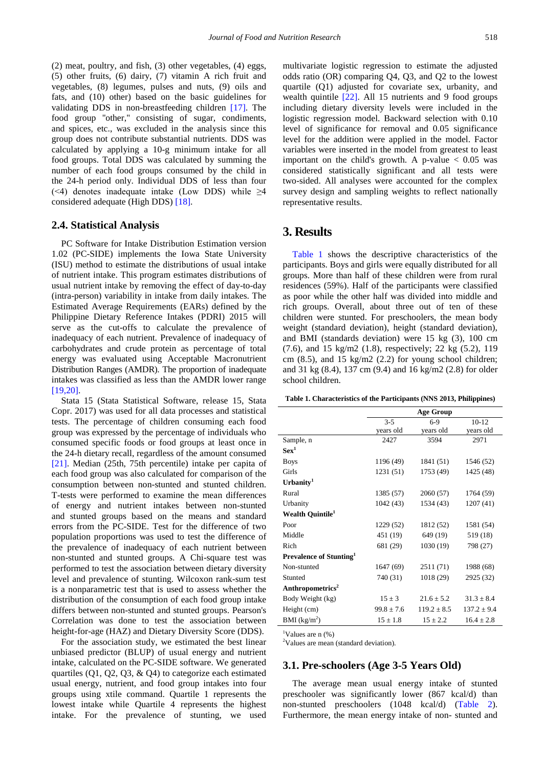(2) meat, poultry, and fish, (3) other vegetables, (4) eggs, (5) other fruits, (6) dairy, (7) vitamin A rich fruit and vegetables, (8) legumes, pulses and nuts, (9) oils and fats, and (10) other) based on the basic guidelines for validating DDS in non-breastfeeding children [\[17\].](#page-9-14) The food group ''other,'' consisting of sugar, condiments, and spices, etc., was excluded in the analysis since this group does not contribute substantial nutrients. DDS was calculated by applying a 10-g minimum intake for all food groups. Total DDS was calculated by summing the number of each food groups consumed by the child in the 24-h period only. Individual DDS of less than four (<4) denotes inadequate intake (Low DDS) while  $\geq 4$ considered adequate (High DDS) [\[18\].](#page-9-15)

### **2.4. Statistical Analysis**

PC Software for Intake Distribution Estimation version 1.02 (PC-SIDE) implements the Iowa State University (ISU) method to estimate the distributions of usual intake of nutrient intake. This program estimates distributions of usual nutrient intake by removing the effect of day-to-day (intra-person) variability in intake from daily intakes. The Estimated Average Requirements (EARs) defined by the Philippine Dietary Reference Intakes (PDRI) 2015 will serve as the cut-offs to calculate the prevalence of inadequacy of each nutrient. Prevalence of inadequacy of carbohydrates and crude protein as percentage of total energy was evaluated using Acceptable Macronutrient Distribution Ranges (AMDR). The proportion of inadequate intakes was classified as less than the AMDR lower range [\[19,20\].](#page-9-16)

Stata 15 (Stata Statistical Software, release 15, Stata Copr. 2017) was used for all data processes and statistical tests. The percentage of children consuming each food group was expressed by the percentage of individuals who consumed specific foods or food groups at least once in the 24-h dietary recall, regardless of the amount consumed [\[21\].](#page-10-0) Median (25th, 75th percentile) intake per capita of each food group was also calculated for comparison of the consumption between non-stunted and stunted children. T-tests were performed to examine the mean differences of energy and nutrient intakes between non-stunted and stunted groups based on the means and standard errors from the PC-SIDE. Test for the difference of two population proportions was used to test the difference of the prevalence of inadequacy of each nutrient between non-stunted and stunted groups. A Chi-square test was performed to test the association between dietary diversity level and prevalence of stunting. Wilcoxon rank-sum test is a nonparametric test that is used to assess whether the distribution of the consumption of each food group intake differs between non-stunted and stunted groups. Pearson's Correlation was done to test the association between height-for-age (HAZ) and Dietary Diversity Score (DDS).

For the association study, we estimated the best linear unbiased predictor (BLUP) of usual energy and nutrient intake, calculated on the PC-SIDE software. We generated quartiles (Q1, Q2, Q3, & Q4) to categorize each estimated usual energy, nutrient, and food group intakes into four groups using xtile command. Quartile 1 represents the lowest intake while Quartile 4 represents the highest intake. For the prevalence of stunting, we used multivariate logistic regression to estimate the adjusted odds ratio (OR) comparing Q4, Q3, and Q2 to the lowest quartile (Q1) adjusted for covariate sex, urbanity, and wealth quintile [\[22\].](#page-10-1) All 15 nutrients and 9 food groups including dietary diversity levels were included in the logistic regression model. Backward selection with 0.10 level of significance for removal and 0.05 significance level for the addition were applied in the model. Factor variables were inserted in the model from greatest to least important on the child's growth. A p-value  $< 0.05$  was considered statistically significant and all tests were two-sided. All analyses were accounted for the complex survey design and sampling weights to reflect nationally representative results.

### **3. Results**

[Table 1](#page-2-0) shows the descriptive characteristics of the participants. Boys and girls were equally distributed for all groups. More than half of these children were from rural residences (59%). Half of the participants were classified as poor while the other half was divided into middle and rich groups. Overall, about three out of ten of these children were stunted. For preschoolers, the mean body weight (standard deviation), height (standard deviation), and BMI (standards deviation) were 15 kg (3), 100 cm (7.6), and 15 kg/m2 (1.8), respectively; 22 kg (5.2), 119 cm (8.5), and 15 kg/m2 (2.2) for young school children; and 31 kg (8.4), 137 cm (9.4) and 16 kg/m2 (2.8) for older school children.

**Table 1. Characteristics of the Participants (NNS 2013, Philippines)**

<span id="page-2-0"></span>

|                                     |              | <b>Age Group</b> |                 |
|-------------------------------------|--------------|------------------|-----------------|
|                                     | $3 - 5$      | $6-9$            | $10-12$         |
|                                     | years old    | years old        | years old       |
| Sample, n                           | 2427         | 3594             | 2971            |
| $Sex^1$                             |              |                  |                 |
| <b>Boys</b>                         | 1196 (49)    | 1841 (51)        | 1546 (52)       |
| Girls                               | 1231 (51)    | 1753 (49)        | 1425 (48)       |
| Urbanity <sup>1</sup>               |              |                  |                 |
| Rural                               | 1385 (57)    | 2060 (57)        | 1764 (59)       |
| Urbanity                            | 1042 (43)    | 1534 (43)        | 1207(41)        |
| Wealth Quintile <sup>1</sup>        |              |                  |                 |
| Poor                                | 1229 (52)    | 1812 (52)        | 1581 (54)       |
| Middle                              | 451 (19)     | 649 (19)         | 519 (18)        |
| Rich                                | 681 (29)     | 1030 (19)        | 798 (27)        |
| Prevalence of Stunting <sup>1</sup> |              |                  |                 |
| Non-stunted                         | 1647 (69)    | 2511 (71)        | 1988 (68)       |
| Stunted                             | 740 (31)     | 1018 (29)        | 2925 (32)       |
| Anthropometrics <sup>2</sup>        |              |                  |                 |
| Body Weight (kg)                    | $15 \pm 3$   | $21.6 + 5.2$     | $31.3 + 8.4$    |
| Height (cm)                         | $99.8 + 7.6$ | $119.2 \pm 8.5$  | $137.2 \pm 9.4$ |
| BMI (kg/m <sup>2</sup> )            | $15 \pm 1.8$ | $15 + 2.2$       | $16.4 + 2.8$    |

Values are n (%)

1

<sup>2</sup>Values are mean (standard deviation).

### **3.1. Pre-schoolers (Age 3-5 Years Old)**

The average mean usual energy intake of stunted preschooler was significantly lower (867 kcal/d) than non-stunted preschoolers (1048 kcal/d) [\(Table 2\)](#page-3-0). Furthermore, the mean energy intake of non- stunted and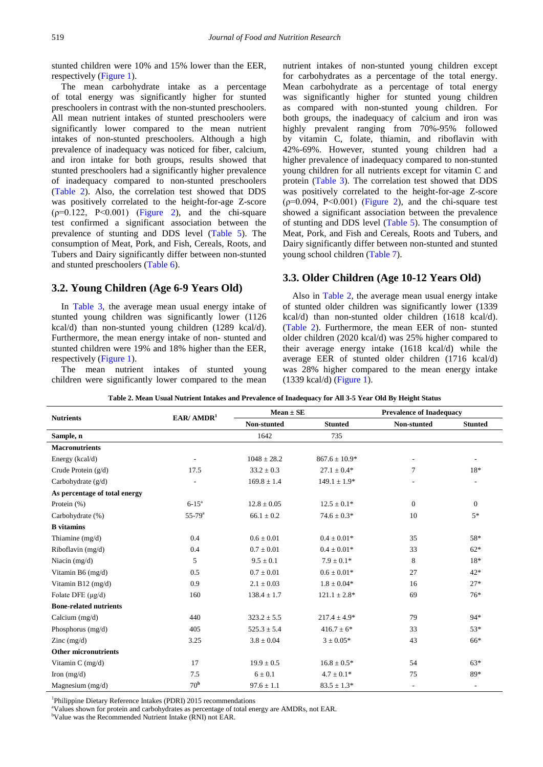stunted children were 10% and 15% lower than the EER, respectively [\(Figure 1\)](#page-4-0).

The mean carbohydrate intake as a percentage of total energy was significantly higher for stunted preschoolers in contrast with the non-stunted preschoolers. All mean nutrient intakes of stunted preschoolers were significantly lower compared to the mean nutrient intakes of non-stunted preschoolers. Although a high prevalence of inadequacy was noticed for fiber, calcium, and iron intake for both groups, results showed that stunted preschoolers had a significantly higher prevalence of inadequacy compared to non-stunted preschoolers [\(Table 2\)](#page-3-0). Also, the correlation test showed that DDS was positively correlated to the height-for-age Z-score  $(p=0.122, P<0.001)$  ([Figure 2\)](#page-5-0), and the chi-square test confirmed a significant association between the prevalence of stunting and DDS level [\(Table 5\)](#page-5-1). The consumption of Meat, Pork, and Fish, Cereals, Roots, and Tubers and Dairy significantly differ between non-stunted and stunted preschoolers [\(Table 6\)](#page-6-0).

### **3.2. Young Children (Age 6-9 Years Old)**

In [Table 3,](#page-4-1) the average mean usual energy intake of stunted young children was significantly lower (1126 kcal/d) than non-stunted young children (1289 kcal/d). Furthermore, the mean energy intake of non- stunted and stunted children were 19% and 18% higher than the EER, respectively [\(Figure 1\)](#page-4-0).

The mean nutrient intakes of stunted young children were significantly lower compared to the mean nutrient intakes of non-stunted young children except for carbohydrates as a percentage of the total energy. Mean carbohydrate as a percentage of total energy was significantly higher for stunted young children as compared with non-stunted young children. For both groups, the inadequacy of calcium and iron was highly prevalent ranging from 70%-95% followed by vitamin C, folate, thiamin, and riboflavin with 42%-69%. However, stunted young children had a higher prevalence of inadequacy compared to non-stunted young children for all nutrients except for vitamin C and protein [\(Table 3\)](#page-4-1). The correlation test showed that DDS was positively correlated to the height-for-age Z-score  $(p=0.094, P<0.001)$  ([Figure 2\)](#page-5-0), and the chi-square test showed a significant association between the prevalence of stunting and DDS level [\(Table 5\)](#page-5-1). The consumption of Meat, Pork, and Fish and Cereals, Roots and Tubers, and Dairy significantly differ between non-stunted and stunted young school children [\(Table 7\)](#page-6-1).

### **3.3. Older Children (Age 10-12 Years Old)**

Also in [Table 2,](#page-3-0) the average mean usual energy intake of stunted older children was significantly lower (1339 kcal/d) than non-stunted older children (1618 kcal/d). [\(Table 2\)](#page-3-0). Furthermore, the mean EER of non- stunted older children (2020 kcal/d) was 25% higher compared to their average energy intake (1618 kcal/d) while the average EER of stunted older children (1716 kcal/d) was 28% higher compared to the mean energy intake (1339 kcal/d) [\(Figure 1\)](#page-4-0).

| Table 2. Mean Usual Nutrient Intakes and Prevalence of Inadequacy for All 3-5 Year Old By Height Status |  |  |
|---------------------------------------------------------------------------------------------------------|--|--|
|---------------------------------------------------------------------------------------------------------|--|--|

<span id="page-3-0"></span>

|                               |                       | $Mean \pm SE$   |                   |                          | <b>Prevalence of Inadequacy</b> |  |
|-------------------------------|-----------------------|-----------------|-------------------|--------------------------|---------------------------------|--|
| <b>Nutrients</b>              | EAR/AMDR <sup>1</sup> | Non-stunted     | <b>Stunted</b>    | Non-stunted              | <b>Stunted</b>                  |  |
| Sample, n                     |                       | 1642            | 735               |                          |                                 |  |
| <b>Macronutrients</b>         |                       |                 |                   |                          |                                 |  |
| Energy (kcal/d)               |                       | $1048 \pm 28.2$ | $867.6 \pm 10.9*$ |                          |                                 |  |
| Crude Protein $(g/d)$         | 17.5                  | $33.2 \pm 0.3$  | $27.1 \pm 0.4*$   | $\tau$                   | 18*                             |  |
| Carbohydrate $(g/d)$          |                       | $169.8 \pm 1.4$ | $149.1 \pm 1.9*$  | -                        | ٠                               |  |
| As percentage of total energy |                       |                 |                   |                          |                                 |  |
| Protein $(\% )$               | $6 - 15^{\circ}$      | $12.8 \pm 0.05$ | $12.5 \pm 0.1*$   | $\overline{0}$           | $\overline{0}$                  |  |
| Carbohydrate (%)              | $55 - 79^{\circ}$     | $66.1 \pm 0.2$  | $74.6 \pm 0.3*$   | 10                       | $5*$                            |  |
| <b>B</b> vitamins             |                       |                 |                   |                          |                                 |  |
| Thiamine (mg/d)               | 0.4                   | $0.6 \pm 0.01$  | $0.4 \pm 0.01*$   | 35                       | 58*                             |  |
| Riboflavin (mg/d)             | 0.4                   | $0.7 \pm 0.01$  | $0.4 \pm 0.01*$   | 33                       | $62*$                           |  |
| Niacin $(mg/d)$               | 5                     | $9.5 \pm 0.1$   | $7.9 \pm 0.1*$    | 8                        | 18*                             |  |
| Vitamin B6 (mg/d)             | 0.5                   | $0.7 \pm 0.01$  | $0.6 \pm 0.01*$   | 27                       | $42*$                           |  |
| Vitamin B12 $(mg/d)$          | 0.9                   | $2.1 \pm 0.03$  | $1.8 \pm 0.04*$   | 16                       | $27*$                           |  |
| Folate DFE $(\mu g/d)$        | 160                   | $138.4 \pm 1.7$ | $121.1 \pm 2.8^*$ | 69                       | $76*$                           |  |
| <b>Bone-related nutrients</b> |                       |                 |                   |                          |                                 |  |
| Calcium $(mg/d)$              | 440                   | $323.2 \pm 5.5$ | $217.4 \pm 4.9*$  | 79                       | $94*$                           |  |
| Phosphorus (mg/d)             | 405                   | $525.3 \pm 5.4$ | $416.7 \pm 6^*$   | 33                       | $53*$                           |  |
| Zinc $(mg/d)$                 | 3.25                  | $3.8 \pm 0.04$  | $3 \pm 0.05*$     | 43                       | 66*                             |  |
| <b>Other micronutrients</b>   |                       |                 |                   |                          |                                 |  |
| Vitamin $C$ (mg/d)            | 17                    | $19.9 \pm 0.5$  | $16.8 \pm 0.5^*$  | 54                       | $63*$                           |  |
| Iron $(mg/d)$                 | 7.5                   | $6 \pm 0.1$     | $4.7 \pm 0.1*$    | 75                       | 89*                             |  |
| Magnesium $(mg/d)$            | 70 <sup>b</sup>       | $97.6 \pm 1.1$  | $83.5 \pm 1.3*$   | $\overline{\phantom{a}}$ | ٠                               |  |

1 Philippine Dietary Reference Intakes (PDRI) 2015 recommendations

<sup>a</sup>Values shown for protein and carbohydrates as percentage of total energy are AMDRs, not EAR.

<sup>b</sup>Value was the Recommended Nutrient Intake (RNI) not EAR.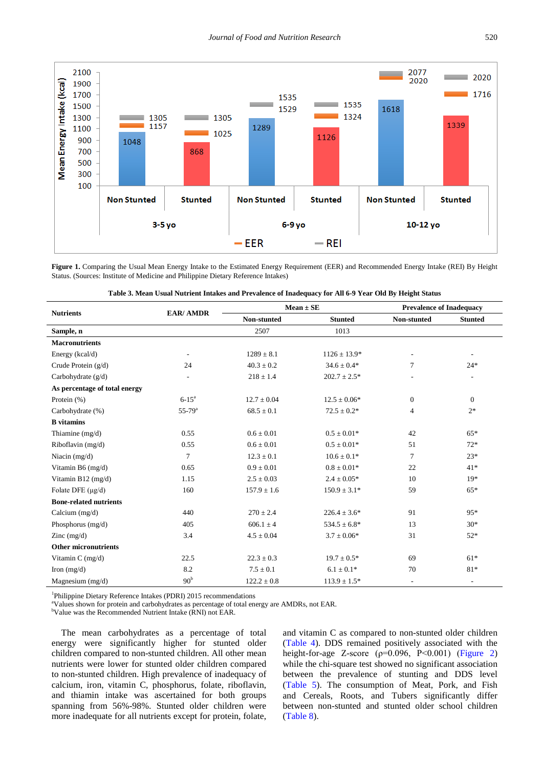<span id="page-4-0"></span>

Figure 1. Comparing the Usual Mean Energy Intake to the Estimated Energy Requirement (EER) and Recommended Energy Intake (REI) By Height Status. (Sources: Institute of Medicine and Philippine Dietary Reference Intakes)

<span id="page-4-1"></span>

|                               |                        |                 | $Mean \pm SE$     |                          | <b>Prevalence of Inadequacy</b> |  |
|-------------------------------|------------------------|-----------------|-------------------|--------------------------|---------------------------------|--|
| <b>Nutrients</b>              | <b>EAR/ AMDR</b>       | Non-stunted     | <b>Stunted</b>    | Non-stunted              | <b>Stunted</b>                  |  |
| Sample, n                     |                        | 2507            | 1013              |                          |                                 |  |
| <b>Macronutrients</b>         |                        |                 |                   |                          |                                 |  |
| Energy (kcal/d)               |                        | $1289 \pm 8.1$  | $1126 \pm 13.9*$  |                          | $\overline{\phantom{a}}$        |  |
| Crude Protein (g/d)           | 24                     | $40.3 \pm 0.2$  | $34.6 \pm 0.4*$   | 7                        | $24*$                           |  |
| Carbohydrate (g/d)            |                        | $218 \pm 1.4$   | $202.7\pm2.5^*$   |                          |                                 |  |
| As percentage of total energy |                        |                 |                   |                          |                                 |  |
| Protein $(\%)$                | $6 - 15^a$             | $12.7 \pm 0.04$ | $12.5 \pm 0.06*$  | $\boldsymbol{0}$         | $\boldsymbol{0}$                |  |
| Carbohydrate (%)              | $55 - 79$ <sup>a</sup> | $68.5 \pm 0.1$  | $72.5 \pm 0.2*$   | $\overline{4}$           | $2*$                            |  |
| <b>B</b> vitamins             |                        |                 |                   |                          |                                 |  |
| Thiamine (mg/d)               | 0.55                   | $0.6 \pm 0.01$  | $0.5 \pm 0.01*$   | 42                       | $65*$                           |  |
| Riboflavin (mg/d)             | 0.55                   | $0.6 \pm 0.01$  | $0.5 \pm 0.01*$   | 51                       | $72*$                           |  |
| Niacin $(mg/d)$               | $\tau$                 | $12.3 \pm 0.1$  | $10.6 \pm 0.1*$   | 7                        | $23*$                           |  |
| Vitamin B6 (mg/d)             | 0.65                   | $0.9 \pm 0.01$  | $0.8 \pm 0.01*$   | 22                       | $41*$                           |  |
| Vitamin B12 (mg/d)            | 1.15                   | $2.5\pm0.03$    | $2.4 \pm 0.05*$   | 10                       | $19*$                           |  |
| Folate DFE $(\mu g/d)$        | 160                    | $157.9 \pm 1.6$ | $150.9 \pm 3.1*$  | 59                       | $65*$                           |  |
| <b>Bone-related nutrients</b> |                        |                 |                   |                          |                                 |  |
| Calcium $(mg/d)$              | 440                    | $270 \pm 2.4$   | $226.4 \pm 3.6^*$ | 91                       | 95*                             |  |
| Phosphorus (mg/d)             | 405                    | $606.1 \pm 4$   | $534.5 \pm 6.8^*$ | 13                       | $30*$                           |  |
| Zinc $(mg/d)$                 | 3.4                    | $4.5 \pm 0.04$  | $3.7\pm0.06^*$    | 31                       | $52*$                           |  |
| <b>Other micronutrients</b>   |                        |                 |                   |                          |                                 |  |
| Vitamin C (mg/d)              | 22.5                   | $22.3 \pm 0.3$  | $19.7 \pm 0.5^*$  | 69                       | $61*$                           |  |
| Iron $(mg/d)$                 | 8.2                    | $7.5 \pm 0.1$   | $6.1\pm0.1^*$     | 70                       | $81*$                           |  |
| Magnesium (mg/d)              | 90 <sup>b</sup>        | $122.2 \pm 0.8$ | $113.9 \pm 1.5*$  | $\overline{\phantom{a}}$ | $\overline{\phantom{a}}$        |  |

| Table 3. Mean Usual Nutrient Intakes and Prevalence of Inadequacy for All 6-9 Year Old By Height Status |  |  |
|---------------------------------------------------------------------------------------------------------|--|--|
|                                                                                                         |  |  |

1 Philippine Dietary Reference Intakes (PDRI) 2015 recommendations

<sup>a</sup>Values shown for protein and carbohydrates as percentage of total energy are AMDRs, not EAR.

<sup>b</sup>Value was the Recommended Nutrient Intake (RNI) not EAR.

The mean carbohydrates as a percentage of total energy were significantly higher for stunted older children compared to non-stunted children. All other mean nutrients were lower for stunted older children compared to non-stunted children. High prevalence of inadequacy of calcium, iron, vitamin C, phosphorus, folate, riboflavin, and thiamin intake was ascertained for both groups spanning from 56%-98%. Stunted older children were more inadequate for all nutrients except for protein, folate, and vitamin C as compared to non-stunted older children [\(Table 4\)](#page-5-2). DDS remained positively associated with the height-for-age Z-score ( $\rho$ =0.096, P<0.001) ([Figure 2\)](#page-5-0) while the chi-square test showed no significant association between the prevalence of stunting and DDS level [\(Table 5\)](#page-5-1). The consumption of Meat, Pork, and Fish and Cereals, Roots, and Tubers significantly differ between non-stunted and stunted older school children [\(Table 8\)](#page-6-2).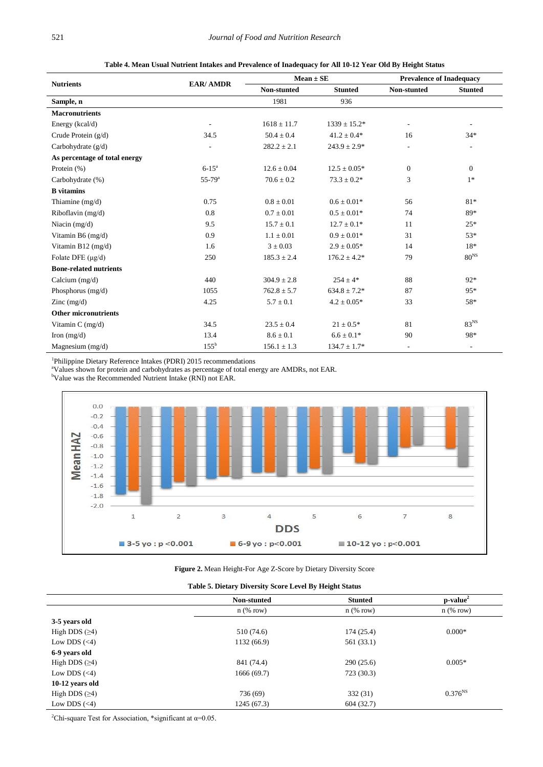<span id="page-5-2"></span>

|                               |                          | $Mean \pm SE$   |                   | <b>Prevalence of Inadequacy</b> |                          |
|-------------------------------|--------------------------|-----------------|-------------------|---------------------------------|--------------------------|
| <b>Nutrients</b>              | <b>EAR/ AMDR</b>         | Non-stunted     | <b>Stunted</b>    | Non-stunted                     | <b>Stunted</b>           |
| Sample, n                     |                          | 1981            | 936               |                                 |                          |
| <b>Macronutrients</b>         |                          |                 |                   |                                 |                          |
| Energy (kcal/d)               | $\overline{\phantom{a}}$ | $1618 \pm 11.7$ | $1339 \pm 15.2^*$ | $\overline{\phantom{a}}$        | $\overline{\phantom{a}}$ |
| Crude Protein $(g/d)$         | 34.5                     | $50.4 \pm 0.4$  | $41.2 \pm 0.4*$   | 16                              | $34*$                    |
| Carbohydrate $(g/d)$          | ÷,                       | $282.2 \pm 2.1$ | $243.9 \pm 2.9*$  | $\overline{\phantom{a}}$        | $\overline{\phantom{a}}$ |
| As percentage of total energy |                          |                 |                   |                                 |                          |
| Protein $(\% )$               | $6 - 15^a$               | $12.6 \pm 0.04$ | $12.5 \pm 0.05*$  | $\theta$                        | $\mathbf{0}$             |
| Carbohydrate (%)              | $55 - 79^{\circ}$        | $70.6 \pm 0.2$  | $73.3 \pm 0.2*$   | 3                               | $1*$                     |
| <b>B</b> vitamins             |                          |                 |                   |                                 |                          |
| Thiamine $(mg/d)$             | 0.75                     | $0.8 \pm 0.01$  | $0.6 \pm 0.01*$   | 56                              | $81*$                    |
| Riboflavin (mg/d)             | 0.8                      | $0.7 \pm 0.01$  | $0.5 \pm 0.01*$   | 74                              | 89*                      |
| Niacin $(mg/d)$               | 9.5                      | $15.7 \pm 0.1$  | $12.7 \pm 0.1*$   | 11                              | $25*$                    |
| Vitamin B6 $(mg/d)$           | 0.9                      | $1.1 \pm 0.01$  | $0.9\pm0.01*$     | 31                              | $53*$                    |
| Vitamin B12 $(mg/d)$          | 1.6                      | $3 \pm 0.03$    | $2.9 \pm 0.05*$   | 14                              | 18*                      |
| Folate DFE $(\mu$ g/d)        | 250                      | $185.3 \pm 2.4$ | $176.2 \pm 4.2^*$ | 79                              | $80^{\rm NS}$            |
| <b>Bone-related nutrients</b> |                          |                 |                   |                                 |                          |
| Calcium $(mg/d)$              | 440                      | $304.9 \pm 2.8$ | $254 \pm 4*$      | 88                              | $92*$                    |
| Phosphorus (mg/d)             | 1055                     | $762.8 \pm 5.7$ | $634.8 \pm 7.2*$  | 87                              | $95*$                    |
| Zinc $(mg/d)$                 | 4.25                     | $5.7 \pm 0.1$   | $4.2\pm0.05^*$    | 33                              | 58*                      |
| <b>Other micronutrients</b>   |                          |                 |                   |                                 |                          |
| Vitamin C (mg/d)              | 34.5                     | $23.5 \pm 0.4$  | $21 \pm 0.5*$     | 81                              | 83 <sup>NS</sup>         |
| Iron $(mg/d)$                 | 13.4                     | $8.6 \pm 0.1$   | $6.6 \pm 0.1*$    | 90                              | 98*                      |
| Magnesium $(mg/d)$            | $155^{\rm b}$            | $156.1 \pm 1.3$ | $134.7 \pm 1.7*$  | $\overline{\phantom{a}}$        | $\overline{\phantom{a}}$ |

**Table 4. Mean Usual Nutrient Intakes and Prevalence of Inadequacy for All 10-12 Year Old By Height Status**

<sup>1</sup>Philippine Dietary Reference Intakes (PDRI) 2015 recommendations

<sup>a</sup>Values shown for protein and carbohydrates as percentage of total energy are AMDRs, not EAR.<br><sup>b</sup>Value was the Recommended Nutrient Intake (RNI) not EAR.

<span id="page-5-0"></span>

**Figure 2.** Mean Height-For Age Z-Score by Dietary Diversity Score

|  |  | Table 5. Dietary Diversity Score Level By Height Status |
|--|--|---------------------------------------------------------|
|  |  |                                                         |

<span id="page-5-1"></span>

|                    | Non-stunted | <b>Stunted</b> | $p-value2$   |
|--------------------|-------------|----------------|--------------|
|                    | $n$ (% row) | $n$ (% row)    | $n$ (% row)  |
| 3-5 years old      |             |                |              |
| High DDS $(≥4)$    | 510 (74.6)  | 174(25.4)      | $0.000*$     |
| Low DDS $(\leq 4)$ | 1132 (66.9) | 561 (33.1)     |              |
| 6-9 years old      |             |                |              |
| High DDS $(≥4)$    | 841 (74.4)  | 290(25.6)      | $0.005*$     |
| Low DDS $(\leq 4)$ | 1666(69.7)  | 723(30.3)      |              |
| 10-12 years old    |             |                |              |
| High DDS $(≥4)$    | 736 (69)    | 332 (31)       | $0.376^{NS}$ |
| Low DDS $(\leq 4)$ | 1245 (67.3) | 604(32.7)      |              |

<sup>2</sup>Chi-square Test for Association, \*significant at  $\alpha$ =0.05.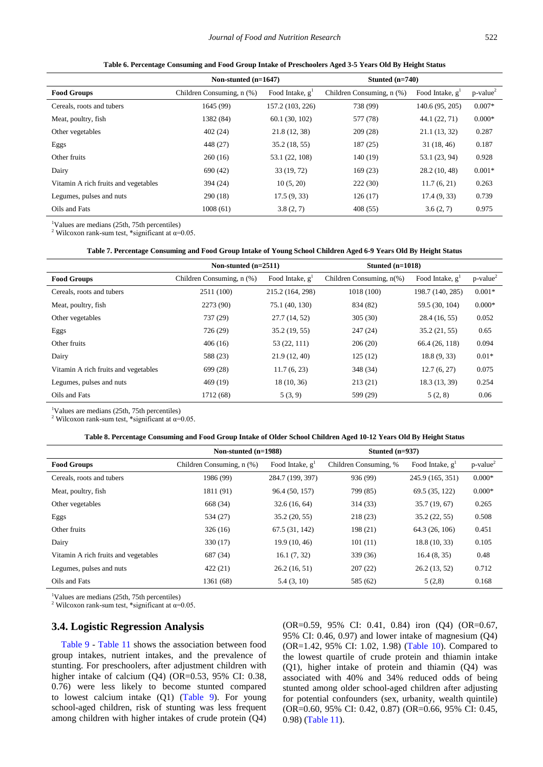<span id="page-6-0"></span>

|                                      | Non-stunted $(n=1647)$    |                    | Stunted $(n=740)$         |                    |                         |
|--------------------------------------|---------------------------|--------------------|---------------------------|--------------------|-------------------------|
| <b>Food Groups</b>                   | Children Consuming, n (%) | Food Intake, $g^1$ | Children Consuming, n (%) | Food Intake, $g^1$ | $p$ -value <sup>2</sup> |
| Cereals, roots and tubers            | 1645 (99)                 | 157.2 (103, 226)   | 738 (99)                  | 140.6 (95, 205)    | $0.007*$                |
| Meat, poultry, fish                  | 1382 (84)                 | 60.1(30, 102)      | 577 (78)                  | 44.1 (22, 71)      | $0.000*$                |
| Other vegetables                     | 402(24)                   | 21.8 (12, 38)      | 209(28)                   | 21.1(13, 32)       | 0.287                   |
| Eggs                                 | 448 (27)                  | 35.2(18, 55)       | 187(25)                   | 31(18, 46)         | 0.187                   |
| Other fruits                         | 260(16)                   | 53.1 (22, 108)     | 140 (19)                  | 53.1 (23, 94)      | 0.928                   |
| Dairy                                | 690 (42)                  | 33(19, 72)         | 169 (23)                  | 28.2(10, 48)       | $0.001*$                |
| Vitamin A rich fruits and vegetables | 394 (24)                  | 10(5, 20)          | 222(30)                   | 11.7(6, 21)        | 0.263                   |
| Legumes, pulses and nuts             | 290(18)                   | 17.5(9, 33)        | 126(17)                   | 17.4(9, 33)        | 0.739                   |
| Oils and Fats                        | 1008(61)                  | 3.8(2, 7)          | 408 (55)                  | 3.6(2, 7)          | 0.975                   |

**Table 6. Percentage Consuming and Food Group Intake of Preschoolers Aged 3-5 Years Old By Height Status**

1 Values are medians (25th, 75th percentiles)

<sup>2</sup> Wilcoxon rank-sum test, \*significant at  $\alpha$ =0.05.

#### **Table 7. Percentage Consuming and Food Group Intake of Young School Children Aged 6-9 Years Old By Height Status**

<span id="page-6-1"></span>

|                                      | Non-stunted $(n=2511)$    |                    | Stunted $(n=1018)$          |                    |                         |
|--------------------------------------|---------------------------|--------------------|-----------------------------|--------------------|-------------------------|
| <b>Food Groups</b>                   | Children Consuming, n (%) | Food Intake, $g^1$ | Children Consuming, $n(\%)$ | Food Intake, $g^1$ | $p$ -value <sup>2</sup> |
| Cereals, roots and tubers            | 2511 (100)                | 215.2 (164, 298)   | 1018 (100)                  | 198.7 (140, 285)   | $0.001*$                |
| Meat, poultry, fish                  | 2273 (90)                 | 75.1 (40, 130)     | 834 (82)                    | 59.5 (30, 104)     | $0.000*$                |
| Other vegetables                     | 737 (29)                  | 27.7(14, 52)       | 305(30)                     | 28.4(16, 55)       | 0.052                   |
| Eggs                                 | 726 (29)                  | 35.2(19, 55)       | 247(24)                     | 35.2(21, 55)       | 0.65                    |
| Other fruits                         | 406(16)                   | 53 (22, 111)       | 206(20)                     | 66.4 (26, 118)     | 0.094                   |
| Dairy                                | 588 (23)                  | 21.9(12, 40)       | 125(12)                     | 18.8(9, 33)        | $0.01*$                 |
| Vitamin A rich fruits and vegetables | 699 (28)                  | 11.7(6, 23)        | 348 (34)                    | 12.7(6, 27)        | 0.075                   |
| Legumes, pulses and nuts             | 469 (19)                  | 18(10, 36)         | 213(21)                     | 18.3 (13, 39)      | 0.254                   |
| Oils and Fats                        | 1712 (68)                 | 5(3, 9)            | 599 (29)                    | 5(2, 8)            | 0.06                    |

1 Values are medians (25th, 75th percentiles)

<sup>2</sup> Wilcoxon rank-sum test, \*significant at  $\alpha$ =0.05.

#### **Table 8. Percentage Consuming and Food Group Intake of Older School Children Aged 10-12 Years Old By Height Status**

<span id="page-6-2"></span>

|                                      | Non-stunted $(n=1988)$    |                   | Stunted $(n=937)$     |                   |                         |
|--------------------------------------|---------------------------|-------------------|-----------------------|-------------------|-------------------------|
| <b>Food Groups</b>                   | Children Consuming, n (%) | Food Intake, $gT$ | Children Consuming, % | Food Intake, $gT$ | $p$ -value <sup>2</sup> |
| Cereals, roots and tubers            | 1986 (99)                 | 284.7 (199, 397)  | 936 (99)              | 245.9 (165, 351)  | $0.000*$                |
| Meat, poultry, fish                  | 1811 (91)                 | 96.4 (50, 157)    | 799 (85)              | 69.5 (35, 122)    | $0.000*$                |
| Other vegetables                     | 668 (34)                  | 32.6(16, 64)      | 314 (33)              | 35.7(19, 67)      | 0.265                   |
| Eggs                                 | 534 (27)                  | 35.2(20, 55)      | 218 (23)              | 35.2(22, 55)      | 0.508                   |
| Other fruits                         | 326(16)                   | 67.5 (31, 142)    | 198 (21)              | 64.3 (26, 106)    | 0.451                   |
| Dairy                                | 330 (17)                  | 19.9(10, 46)      | 101(11)               | 18.8(10, 33)      | 0.105                   |
| Vitamin A rich fruits and vegetables | 687 (34)                  | 16.1(7, 32)       | 339 (36)              | 16.4(8, 35)       | 0.48                    |
| Legumes, pulses and nuts             | 422(21)                   | 26.2(16, 51)      | 207(22)               | 26.2(13, 52)      | 0.712                   |
| Oils and Fats                        | 1361 (68)                 | 5.4(3, 10)        | 585 (62)              | 5(2,8)            | 0.168                   |

1 Values are medians (25th, 75th percentiles)

<sup>2</sup> Wilcoxon rank-sum test, \*significant at  $\alpha$ =0.05.

#### **3.4. Logistic Regression Analysis**

[Table 9](#page-7-0) - [Table 11](#page-7-1) shows the association between food group intakes, nutrient intakes, and the prevalence of stunting. For preschoolers, after adjustment children with higher intake of calcium (Q4) (OR=0.53, 95% CI: 0.38, 0.76) were less likely to become stunted compared to lowest calcium intake (Q1) [\(Table 9\)](#page-7-0). For young school-aged children, risk of stunting was less frequent among children with higher intakes of crude protein (Q4) (OR=0.59, 95% CI: 0.41, 0.84) iron (Q4) (OR=0.67, 95% CI: 0.46, 0.97) and lower intake of magnesium (Q4) (OR=1.42, 95% CI: 1.02, 1.98) [\(Table 10\)](#page-7-2). Compared to the lowest quartile of crude protein and thiamin intake (Q1), higher intake of protein and thiamin (Q4) was associated with 40% and 34% reduced odds of being stunted among older school-aged children after adjusting for potential confounders (sex, urbanity, wealth quintile) (OR=0.60, 95% CI: 0.42, 0.87) (OR=0.66, 95% CI: 0.45, 0.98) [\(Table 11\)](#page-7-1).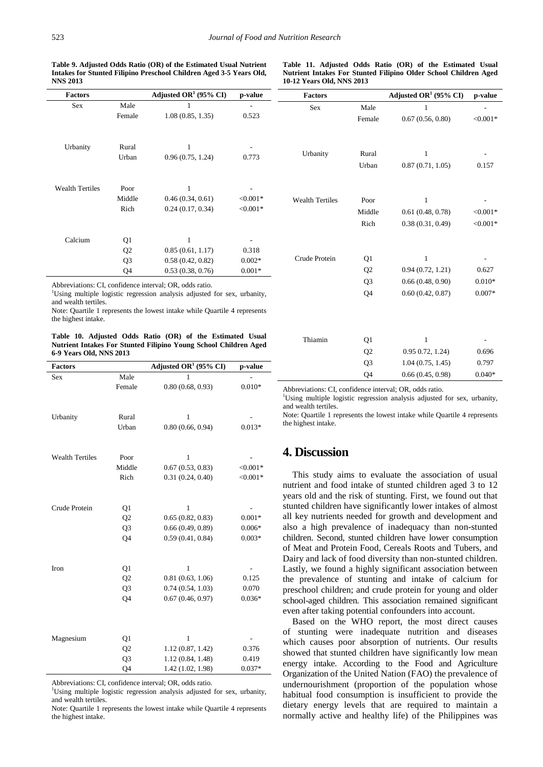**Table 9. Adjusted Odds Ratio (OR) of the Estimated Usual Nutrient Intakes for Stunted Filipino Preschool Children Aged 3-5 Years Old, NNS 2013**

#### <span id="page-7-1"></span>**Table 11. Adjusted Odds Ratio (OR) of the Estimated Usual Nutrient Intakes For Stunted Filipino Older School Children Aged 10-12 Years Old, NNS 2013**

<span id="page-7-0"></span>

| <b>Factors</b>         |                | Adjusted OR <sup>1</sup> (95% CI)                                       | p-value    | <b>Factors</b>         |                | Adjusted OR <sup>1</sup> (95% CI) | p-value    |
|------------------------|----------------|-------------------------------------------------------------------------|------------|------------------------|----------------|-----------------------------------|------------|
| Sex                    | Male           |                                                                         |            | Sex                    | Male           |                                   |            |
|                        | Female         | 1.08(0.85, 1.35)                                                        | 0.523      |                        | Female         | 0.67(0.56, 0.80)                  | $< 0.001*$ |
| Urbanity               | Rural          |                                                                         |            |                        |                |                                   |            |
|                        | Urban          | 0.96(0.75, 1.24)                                                        | 0.773      | Urbanity               | Rural          |                                   |            |
|                        |                |                                                                         |            |                        | Urban          | 0.87(0.71, 1.05)                  | 0.157      |
| <b>Wealth Tertiles</b> | Poor           |                                                                         |            |                        |                |                                   |            |
|                        | Middle         | 0.46(0.34, 0.61)                                                        | $< 0.001*$ | <b>Wealth Tertiles</b> | Poor           |                                   |            |
|                        | Rich           | 0.24(0.17, 0.34)                                                        | $< 0.001*$ |                        | Middle         | 0.61(0.48, 0.78)                  | $< 0.001*$ |
|                        |                |                                                                         |            |                        | Rich           | 0.38(0.31, 0.49)                  | $< 0.001*$ |
| Calcium                | Q1             |                                                                         |            |                        |                |                                   |            |
|                        | Q <sub>2</sub> | 0.85(0.61, 1.17)                                                        | 0.318      |                        |                |                                   |            |
|                        | Q <sub>3</sub> | 0.58(0.42, 0.82)                                                        | $0.002*$   | Crude Protein          | Q <sub>1</sub> |                                   |            |
|                        | Q <sub>4</sub> | 0.53(0.38, 0.76)                                                        | $0.001*$   |                        | Q <sub>2</sub> | 0.94(0.72, 1.21)                  | 0.627      |
|                        |                | Abbreviations: CI, confidence interval; OR, odds ratio.                 |            |                        | Q <sub>3</sub> | 0.66(0.48, 0.90)                  | $0.010*$   |
|                        |                | Using multiple logistic regression analysis adjusted for sex, urbanity, |            |                        | Q <sub>4</sub> | 0.60(0.42, 0.87)                  | $0.007*$   |

Using multiple logistic regression analysis adjusted for sex, urbanity, and wealth tertiles.

Note: Quartile 1 represents the lowest intake while Quartile 4 represents the highest intake.

**Table 10. Adjusted Odds Ratio (OR) of the Estimated Usual Nutrient Intakes For Stunted Filipino Young School Children Aged 6-9 Years Old, NNS 2013**

<span id="page-7-2"></span>

| <b>Factors</b>         |                      | Adjusted OR <sup>1</sup> (95% CI)     | p-value           |
|------------------------|----------------------|---------------------------------------|-------------------|
| Sex                    | Male                 | 1                                     |                   |
|                        | Female               | 0.80(0.68, 0.93)                      | $0.010*$          |
|                        |                      |                                       |                   |
|                        |                      |                                       |                   |
| Urbanity               | Rural                | 1                                     |                   |
|                        | Urban                | 0.80(0.66, 0.94)                      | $0.013*$          |
|                        |                      |                                       |                   |
| <b>Wealth Tertiles</b> | Poor                 | $\mathbf{1}$                          |                   |
|                        | Middle               | 0.67(0.53, 0.83)                      | $<0.001*$         |
|                        | Rich                 | 0.31(0.24, 0.40)                      | $<0.001*$         |
|                        |                      |                                       |                   |
|                        |                      |                                       |                   |
| Crude Protein          | Q1                   | 1                                     |                   |
|                        | Q <sub>2</sub>       | 0.65(0.82, 0.83)                      | $0.001*$          |
|                        | Q <sub>3</sub>       | 0.66(0.49, 0.89)                      | $0.006*$          |
|                        | Q4                   | 0.59(0.41, 0.84)                      | $0.003*$          |
|                        |                      |                                       |                   |
|                        |                      |                                       |                   |
| Iron                   | Q1                   | $\mathbf{1}$                          |                   |
|                        | Q <sub>2</sub>       | 0.81(0.63, 1.06)                      | 0.125             |
|                        | Q <sub>3</sub>       | 0.74(0.54, 1.03)                      | 0.070             |
|                        | Q4                   | 0.67(0.46, 0.97)                      | $0.036*$          |
|                        |                      |                                       |                   |
|                        |                      |                                       |                   |
| Magnesium              | Q1                   | 1                                     |                   |
|                        | Q2                   | 1.12(0.87, 1.42)                      | 0.376             |
|                        |                      |                                       |                   |
|                        |                      |                                       |                   |
|                        | Q <sub>3</sub><br>Q4 | 1.12(0.84, 1.48)<br>1.42 (1.02, 1.98) | 0.419<br>$0.037*$ |

Abbreviations: CI, confidence interval; OR, odds ratio. <sup>1</sup>

<sup>1</sup>Using multiple logistic regression analysis adjusted for sex, urbanity, and wealth tertiles.

Note: Quartile 1 represents the lowest intake while Quartile 4 represents the highest intake.

Abbreviations: CI, confidence interval; OR, odds ratio.

Thiamin 01 1

<sup>1</sup>Using multiple logistic regression analysis adjusted for sex, urbanity, and wealth tertiles.

Q2 0.95 0.72, 1.24) 0.696 Q3 1.04 (0.75, 1.45) 0.797  $Q4 \qquad 0.66 \ (0.45, 0.98) \qquad 0.040*$ 

Note: Quartile 1 represents the lowest intake while Quartile 4 represents the highest intake.

# **4. Discussion**

This study aims to evaluate the association of usual nutrient and food intake of stunted children aged 3 to 12 years old and the risk of stunting. First, we found out that stunted children have significantly lower intakes of almost all key nutrients needed for growth and development and also a high prevalence of inadequacy than non-stunted children. Second, stunted children have lower consumption of Meat and Protein Food, Cereals Roots and Tubers, and Dairy and lack of food diversity than non-stunted children. Lastly, we found a highly significant association between the prevalence of stunting and intake of calcium for preschool children; and crude protein for young and older school-aged children. This association remained significant even after taking potential confounders into account.

Based on the WHO report, the most direct causes of stunting were inadequate nutrition and diseases which causes poor absorption of nutrients. Our results showed that stunted children have significantly low mean energy intake. According to the Food and Agriculture Organization of the United Nation (FAO) the prevalence of undernourishment (proportion of the population whose habitual food consumption is insufficient to provide the dietary energy levels that are required to maintain a normally active and healthy life) of the Philippines was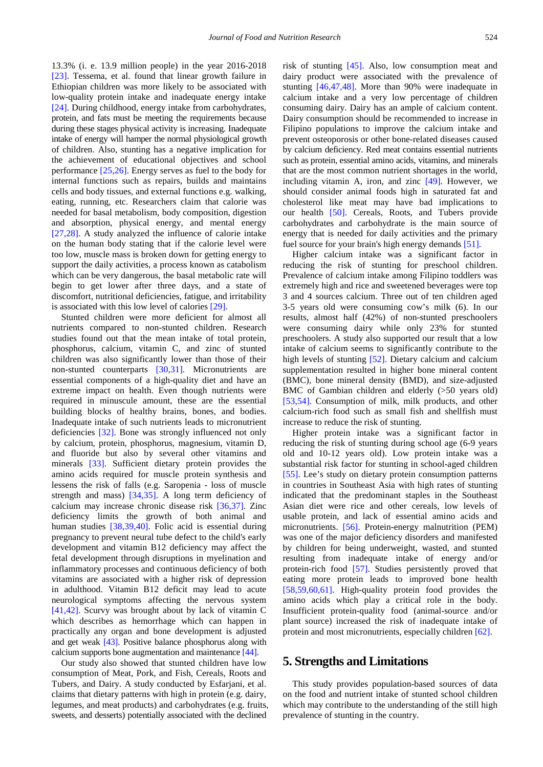13.3% (i. e. 13.9 million people) in the year 2016-2018 [\[23\].](#page-10-2) Tessema, et al. found that linear growth failure in Ethiopian children was more likely to be associated with low-quality protein intake and inadequate energy intake [\[24\].](#page-10-3) During childhood, energy intake from carbohydrates, protein, and fats must be meeting the requirements because during these stages physical activity is increasing. Inadequate intake of energy will hamper the normal physiological growth of children. Also, stunting has a negative implication for the achievement of educational objectives and school performance [\[25,26\].](#page-10-4) Energy serves as fuel to the body for internal functions such as repairs, builds and maintains cells and body tissues, and external functions e.g. walking, eating, running, etc. Researchers claim that calorie was needed for basal metabolism, body composition, digestion and absorption, physical energy, and mental energy [\[27,28\].](#page-10-5) A study analyzed the influence of calorie intake on the human body stating that if the calorie level were too low, muscle mass is broken down for getting energy to support the daily activities, a process known as catabolism which can be very dangerous, the basal metabolic rate will begin to get lower after three days, and a state of discomfort, nutritional deficiencies, fatigue, and irritability is associated with this low level of calorie[s \[29\].](#page-10-6)

Stunted children were more deficient for almost all nutrients compared to non-stunted children. Research studies found out that the mean intake of total protein, phosphorus, calcium, vitamin C, and zinc of stunted children was also significantly lower than those of their non-stunted counterparts [\[30,31\].](#page-10-7) Micronutrients are essential components of a high-quality diet and have an extreme impact on health. Even though nutrients were required in minuscule amount, these are the essential building blocks of healthy brains, bones, and bodies. Inadequate intake of such nutrients leads to micronutrient deficiencies [\[32\].](#page-10-8) Bone was strongly influenced not only by calcium, protein, phosphorus, magnesium, vitamin D, and fluoride but also by several other vitamins and minerals [\[33\].](#page-10-9) Sufficient dietary protein provides the amino acids required for muscle protein synthesis and lessens the risk of falls (e.g. Saropenia - loss of muscle strength and mass) [\[34,35\].](#page-10-10) A long term deficiency of calcium may increase chronic disease risk [\[36,37\].](#page-10-11) Zinc deficiency limits the growth of both animal and human studies [\[38,39,40\].](#page-10-12) Folic acid is essential during pregnancy to prevent neural tube defect to the child's early development and vitamin B12 deficiency may affect the fetal development through disruptions in myelination and inflammatory processes and continuous deficiency of both vitamins are associated with a higher risk of depression in adulthood. Vitamin B12 deficit may lead to acute neurological symptoms affecting the nervous system [\[41,42\].](#page-10-13) Scurvy was brought about by lack of vitamin C which describes as hemorrhage which can happen in practically any organ and bone development is adjusted and get weak [\[43\].](#page-10-14) Positive balance phosphorus along with calcium supports bone augmentation and maintenance [\[44\].](#page-10-15) 

Our study also showed that stunted children have low consumption of Meat, Pork, and Fish, Cereals, Roots and Tubers, and Dairy. A study conducted by Esfarjani, et al. claims that dietary patterns with high in protein (e.g. dairy, legumes, and meat products) and carbohydrates (e.g. fruits, sweets, and desserts) potentially associated with the declined

risk of stunting [\[45\].](#page-10-16) Also, low consumption meat and dairy product were associated with the prevalence of stunting [\[46,47,48\].](#page-10-17) More than 90% were inadequate in calcium intake and a very low percentage of children consuming dairy. Dairy has an ample of calcium content. Dairy consumption should be recommended to increase in Filipino populations to improve the calcium intake and prevent osteoporosis or other bone-related diseases caused by calcium deficiency. Red meat contains essential nutrients such as protein, essential amino acids, vitamins, and minerals that are the most common nutrient shortages in the world, including vitamin A, iron, and zinc [\[49\].](#page-10-18) However, we should consider animal foods high in saturated fat and cholesterol like meat may have bad implications to our health [\[50\].](#page-10-19) Cereals, Roots, and Tubers provide carbohydrates and carbohydrate is the main source of energy that is needed for daily activities and the primary fuel source for your brain's high energy demand[s \[51\].](#page-10-20)

Higher calcium intake was a significant factor in reducing the risk of stunting for preschool children. Prevalence of calcium intake among Filipino toddlers was extremely high and rice and sweetened beverages were top 3 and 4 sources calcium. Three out of ten children aged 3-5 years old were consuming cow's milk (6). In our results, almost half (42%) of non-stunted preschoolers were consuming dairy while only 23% for stunted preschoolers. A study also supported our result that a low intake of calcium seems to significantly contribute to the high levels of stunting [\[52\].](#page-10-21) Dietary calcium and calcium supplementation resulted in higher bone mineral content (BMC), bone mineral density (BMD), and size-adjusted BMC of Gambian children and elderly (>50 years old) [\[53,54\].](#page-10-22) Consumption of milk, milk products, and other calcium-rich food such as small fish and shellfish must increase to reduce the risk of stunting.

Higher protein intake was a significant factor in reducing the risk of stunting during school age (6-9 years old and 10-12 years old). Low protein intake was a substantial risk factor for stunting in school-aged children [\[55\].](#page-10-23) Lee's study on dietary protein consumption patterns in countries in Southeast Asia with high rates of stunting indicated that the predominant staples in the Southeast Asian diet were rice and other cereals, low levels of usable protein, and lack of essential amino acids and micronutrients. [\[56\].](#page-10-24) Protein-energy malnutrition (PEM) was one of the major deficiency disorders and manifested by children for being underweight, wasted, and stunted resulting from inadequate intake of energy and/or protein-rich food [\[57\].](#page-10-25) Studies persistently proved that eating more protein leads to improved bone health [\[58,59,60,61\].](#page-10-26) High-quality protein food provides the amino acids which play a critical role in the body. Insufficient protein-quality food (animal-source and/or plant source) increased the risk of inadequate intake of protein and most micronutrients, especially children [\[62\].](#page-11-0)

## **5. Strengths and Limitations**

This study provides population-based sources of data on the food and nutrient intake of stunted school children which may contribute to the understanding of the still high prevalence of stunting in the country.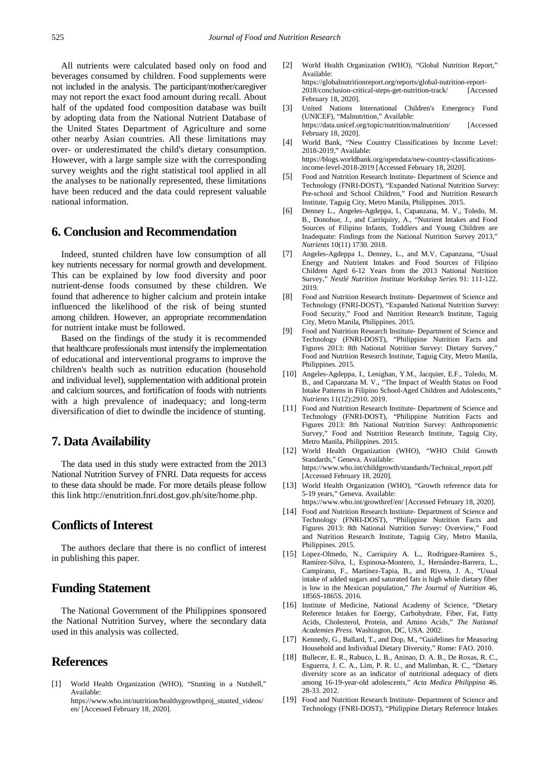All nutrients were calculated based only on food and beverages consumed by children. Food supplements were not included in the analysis. The participant/mother/caregiver may not report the exact food amount during recall. About half of the updated food composition database was built by adopting data from the National Nutrient Database of the United States Department of Agriculture and some other nearby Asian countries. All these limitations may over- or underestimated the child's dietary consumption. However, with a large sample size with the corresponding survey weights and the right statistical tool applied in all the analyses to be nationally represented, these limitations have been reduced and the data could represent valuable national information.

# **6. Conclusion and Recommendation**

Indeed, stunted children have low consumption of all key nutrients necessary for normal growth and development. This can be explained by low food diversity and poor nutrient-dense foods consumed by these children. We found that adherence to higher calcium and protein intake influenced the likelihood of the risk of being stunted among children. However, an appropriate recommendation for nutrient intake must be followed.

Based on the findings of the study it is recommended that healthcare professionals must intensify the implementation of educational and interventional programs to improve the children's health such as nutrition education (household and individual level), supplementation with additional protein and calcium sources, and fortification of foods with nutrients with a high prevalence of inadequacy; and long-term diversification of diet to dwindle the incidence of stunting.

## **7. Data Availability**

The data used in this study were extracted from the 2013 National Nutrition Survey of FNRI. Data requests for access to these data should be made. For more details please follow this link http://enutrition.fnri.dost.gov.ph/site/home.php.

# **Conflicts of Interest**

The authors declare that there is no conflict of interest in publishing this paper.

# **Funding Statement**

The National Government of the Philippines sponsored the National Nutrition Survey, where the secondary data used in this analysis was collected.

# **References**

<span id="page-9-0"></span>[1] World Health Organization (WHO), "Stunting in a Nutshell," Available:

https://www.who.int/nutrition/healthygrowthproj\_stunted\_videos/ en/ [Accessed February 18, 2020].

- [2] World Health Organization (WHO), "Global Nutrition Report," Available: https://globalnutritionreport.org/reports/global-nutrition-report-2018/conclusion-critical-steps-get-nutrition-track/ [Accessed February 18, 2020].
- [3] United Nations International Children's Emergency Fund (UNICEF), "Malnutrition," Available: https://data.unicef.org/topic/nutrition/malnutrition/ [Accessed February 18, 2020].
- <span id="page-9-1"></span>[4] World Bank, "New Country Classifications by Income Level: 2018-2019," Available: https://blogs.worldbank.org/opendata/new-country-classificationsincome-level-2018-2019 [Accessed February 18, 2020].
- <span id="page-9-2"></span>[5] Food and Nutrition Research Institute- Department of Science and Technology (FNRI-DOST), "Expanded National Nutrition Survey: Pre-school and School Children," Food and Nutrition Research Institute, Taguig City, Metro Manila, Philippines. 2015.
- <span id="page-9-3"></span>[6] Denney L., Angeles-Agdeppa, I., Capanzana, M. V., Toledo, M. B., Donohue, J., and Carriquiry, A., "Nutrient Intakes and Food Sources of Filipino Infants, Toddlers and Young Children are Inadequate: Findings from the National Nutrition Survey 2013," *Nutrients* 10(11) 1730. 2018.
- <span id="page-9-4"></span>[7] Angeles-Agdeppa I., Denney, L., and M.V, Capanzana, "Usual Energy and Nutrient Intakes and Food Sources of Filipino Children Aged 6-12 Years from the 2013 National Nutrition Survey," *Nestlé Nutrition Institute Workshop Series* 91: 111-122. 2019.
- <span id="page-9-5"></span>[8] Food and Nutrition Research Institute- Department of Science and Technology (FNRI-DOST), "Expanded National Nutrition Survey: Food Security," Food and Nutrition Research Institute, Taguig City, Metro Manila, Philippines. 2015.
- <span id="page-9-6"></span>[9] Food and Nutrition Research Institute- Department of Science and Technology (FNRI-DOST), "Philippine Nutrition Facts and Figures 2013: 8th National Nutrition Survey: Dietary Survey,' Food and Nutrition Research Institute, Taguig City, Metro Manila, Philippines. 2015.
- <span id="page-9-7"></span>[10] Angeles-Agdeppa, I., Lenighan, Y.M., Jacquier, E.F., Toledo, M. B., and Capanzana M. V., "The Impact of Wealth Status on Food Intake Patterns in Filipino School-Aged Children and Adolescents," *Nutrients* 11(12):2910. 2019.
- <span id="page-9-8"></span>[11] Food and Nutrition Research Institute- Department of Science and Technology (FNRI-DOST), "Philippine Nutrition Facts and Figures 2013: 8th National Nutrition Survey: Anthropometric Survey," Food and Nutrition Research Institute, Taguig City, Metro Manila, Philippines. 2015.
- <span id="page-9-9"></span>[12] World Health Organization (WHO), "WHO Child Growth Standards," Geneva. Available: https://www.who.int/childgrowth/standards/Technical\_report.pdf [Accessed February 18, 2020].
- <span id="page-9-10"></span>[13] World Health Organization (WHO), "Growth reference data for 5-19 years," Geneva. Available:
- <span id="page-9-11"></span>https://www.who.int/growthref/en/ [Accessed February 18, 2020]. [14] Food and Nutrition Research Institute- Department of Science and Technology (FNRI-DOST), "Philippine Nutrition Facts and Figures 2013: 8th National Nutrition Survey: Overview," Food and Nutrition Research Institute, Taguig City, Metro Manila, Philippines. 2015.
- <span id="page-9-12"></span>[15] Lopez-Olmedo, N., Carriquiry A. L., Rodriguez-Ramirez S., Ramírez-Silva, I., Espinosa-Montero, J., Hernández-Barrera, L., Campirano, F., Martínez-Tapia, B., and Rivera, J. A., "Usual intake of added sugars and saturated fats is high while dietary fiber is low in the Mexican population," *The Journal of Nutrition* 46, 1856S-1865S. 2016.
- <span id="page-9-13"></span>[16] Institute of Medicine, National Academy of Science, "Dietary Reference Intakes for Energy, Carbohydrate, Fiber, Fat, Fatty Acids, Cholesterol, Protein, and Amino Acids," *The National Academies Press.* Washington, DC, USA. 2002.
- <span id="page-9-14"></span>[17] Kennedy, G., Ballard, T., and Dop, M., "Guidelines for Measuring Household and Individual Dietary Diversity," Rome: FAO. 2010.
- <span id="page-9-15"></span>[18] Bullecer, E. R., Rabuco, L. B., Aninao, D. A. B., De Roxas, R. C., Esguerra, J. C. A., Lim, P. R. U., and Malimban, R. C., "Dietary diversity score as an indicator of nutritional adequacy of diets among 16-19-year-old adolescents," *Acta Medica Philippina* 46. 28-33. 2012.
- <span id="page-9-16"></span>[19] Food and Nutrition Research Institute- Department of Science and Technology (FNRI-DOST), "Philippine Dietary Reference Intakes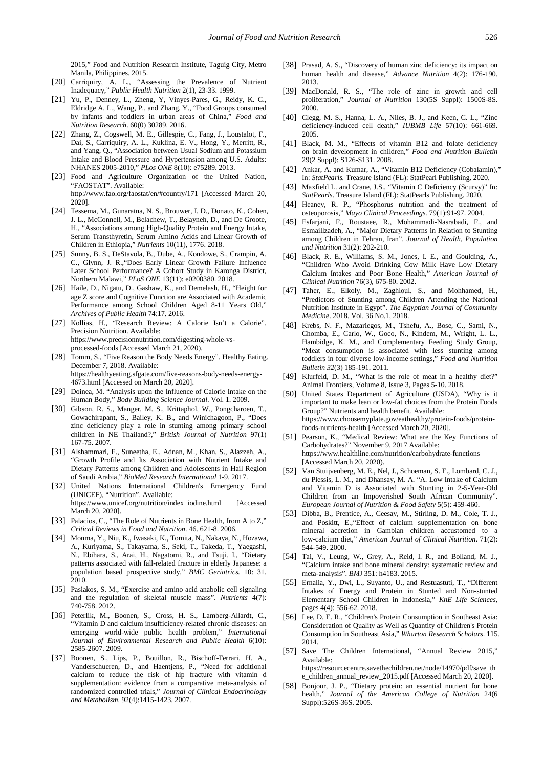2015," Food and Nutrition Research Institute, Taguig City, Metro Manila, Philippines. 2015.

- [20] Carriquiry, A. L., "Assessing the Prevalence of Nutrient Inadequacy," *Public Health Nutrition* 2(1), 23-33. 1999.
- <span id="page-10-0"></span>[21] Yu, P., Denney, L., Zheng, Y, Vinyes-Pares, G., Reidy, K. C., Eldridge A. L., Wang, P., and Zhang, Y., "Food Groups consumed by infants and toddlers in urban areas of China," *Food and Nutrition Research*. 60(0) 30289. 2016.
- <span id="page-10-1"></span>[22] Zhang, Z., Cogswell, M. E., Gillespie, C., Fang, J., Loustalot, F., Dai, S., Carriquiry, A. L., Kuklina, E. V., Hong, Y., Merritt, R., and Yang, Q., "Association between Usual Sodium and Potassium Intake and Blood Pressure and Hypertension among U.S. Adults: NHANES 2005-2010," *PLos ONE* 8(10): e75289. 2013.
- <span id="page-10-2"></span>[23] Food and Agriculture Organization of the United Nation, "FAOSTAT". Available: http://www.fao.org/faostat/en/#country/171 [Accessed March 20, 2020].
- <span id="page-10-3"></span>[24] Tessema, M., Gunaratna, N. S., Brouwer, I. D., Donato, K., Cohen, J. L., McConnell, M., Belachew, T., Belayneh, D., and De Groote, H., "Associations among High-Quality Protein and Energy Intake, Serum Transthyretin, Serum Amino Acids and Linear Growth of Children in Ethiopia," *Nutrients* 10(11), 1776. 2018.
- <span id="page-10-4"></span>[25] Sunny, B. S., DeStavola, B., Dube, A., Kondowe, S., Crampin, A. C., Glynn, J. R.,"Does Early Linear Growth Failure Influence Later School Performance? A Cohort Study in Karonga District, Northern Malawi," *PLoS ONE* 13(11): e0200380. 2018.
- [26] Haile, D., Nigatu, D., Gashaw, K., and Demelash, H., "Height for age Z score and Cognitive Function are Associated with Academic Performance among School Children Aged 8-11 Years Old," *Archives of Public Health* 74:17. 2016.
- <span id="page-10-5"></span>[27] Kollias, H., "Research Review: A Calorie Isn't a Calorie". Precision Nutrition. Available: https://www.precisionnutrition.com/digesting-whole-vsprocessed-foods [Accessed March 21, 2020).
- [28] Tomm, S., "Five Reason the Body Needs Energy". Healthy Eating. December 7, 2018. Available: https://healthyeating.sfgate.com/five-reasons-body-needs-energy-4673.html [Accessed on March 20, 2020].
- <span id="page-10-6"></span>[29] Doinea, M. "Analysis upon the Influence of Calorie Intake on the Human Body," *Body Building Science Journal*. Vol. 1. 2009.
- <span id="page-10-7"></span>[30] Gibson, R. S., Manger, M. S., Krittaphol, W., Pongcharoen, T., Gowachirapant, S., Bailey, K. B., and Winichagoon, P., "Does zinc deficiency play a role in stunting among primary school children in NE Thailand?," *British Journal of Nutrition* 97(1) 167-75. 2007.
- [31] Alshammari, E., Suneetha, E., Adnan, M., Khan, S., Alazzeh, A., "Growth Profile and Its Association with Nutrient Intake and Dietary Patterns among Children and Adolescents in Hail Region of Saudi Arabia," *BioMed Research International* 1-9. 2017.
- <span id="page-10-8"></span>[32] United Nations International Children's Emergency Fund (UNICEF), "Nutrition". Available: https://www.unicef.org/nutrition/index\_iodine.html [Accessed March 20, 2020].
- <span id="page-10-9"></span>[33] Palacios, C., "The Role of Nutrients in Bone Health, from A to Z," *Critical Reviews in Food and Nutrition*. 46. 621-8. 2006.
- <span id="page-10-10"></span>[34] Monma, Y., Niu, K., Iwasaki, K., Tomita, N., Nakaya, N., Hozawa, A., Kuriyama, S., Takayama, S., Seki, T., Takeda, T., Yaegashi, N., Ebihara, S., Arai, H., Nagatomi, R., and Tsuji, I., "Dietary patterns associated with fall-related fracture in elderly Japanese: a population based prospective study," *BMC Geriatrics.* 10: 31. 2010.
- [35] Pasiakos, S. M., "Exercise and amino acid anabolic cell signaling and the regulation of skeletal muscle mass". *Nutrients* 4(7): 740-758. 2012.
- <span id="page-10-11"></span>[36] Peterlik, M., Boonen, S., Cross, H. S., Lamberg-Allardt, C., "Vitamin D and calcium insufficiency-related chronic diseases: an emerging world-wide public health problem," *International Journal of Environmental Research and Public Health* 6(10): 2585-2607. 2009.
- [37] Boonen, S., Lips, P., Bouillon, R., Bischoff-Ferrari, H. A., Vanderschueren, D., and Haentjens, P., "Need for additional calcium to reduce the risk of hip fracture with vitamin d supplementation: evidence from a comparative meta-analysis of randomized controlled trials," *Journal of Clinical Endocrinology and Metabolism*. 92(4):1415-1423. 2007.
- <span id="page-10-12"></span>[38] Prasad, A. S., "Discovery of human zinc deficiency: its impact on human health and disease," *Advance Nutrition* 4(2): 176-190. 2013.
- [39] MacDonald, R. S., "The role of zinc in growth and cell proliferation," *Journal of Nutrition* 130(5S Suppl): 1500S-8S. 2000.
- [40] Clegg, M. S., Hanna, L. A., Niles, B. J., and Keen, C. L., "Zinc deficiency-induced cell death," *IUBMB Life* 57(10): 661-669. 2005.
- <span id="page-10-13"></span>[41] Black, M. M., "Effects of vitamin B12 and folate deficiency on brain development in children," *Food and Nutrition Bulletin* 29(2 Suppl): S126-S131. 2008.
- [42] Ankar, A. and Kumar, A., "Vitamin B12 Deficiency (Cobalamin)," In: *StatPearls.* Treasure Island (FL): StatPearl Publishing. 2020.
- <span id="page-10-14"></span>[43] Maxfield L. and Crane, J.S., "Vitamin C Deficiency (Scurvy)" In: *StatPearls*. Treasure Island (FL): StatPearls Publishing. 2020.
- <span id="page-10-15"></span>[44] Heaney, R. P., "Phosphorus nutrition and the treatment of osteoporosis," *Mayo Clinical Proceedings.* 79(1):91-97. 2004.
- <span id="page-10-16"></span>[45] Esfarjani, F., Roustaee, R., Mohammadi-Nasrabadi, F., and Esmaillzadeh, A., "Major Dietary Patterns in Relation to Stunting among Children in Tehran, Iran". *Journal of Health, Population and Nutrition* 31(2): 202-210.
- <span id="page-10-17"></span>[46] Black, R. E., Williams, S. M., Jones, I. E., and Goulding, A., "Children Who Avoid Drinking Cow Milk Have Low Dietary Calcium Intakes and Poor Bone Health," *American Journal of Clinical Nutrition* 76(3), 675-80. 2002.
- [47] Taher, E., Elkoly, M., Zaghloul, S., and Mohhamed, H., "Predictors of Stunting among Children Attending the National Nutrition Institute in Egypt". *The Egyptian Journal of Community Medicine*. 2018. Vol. 36 No.1, 2018.
- [48] Krebs, N. F., Mazariegos, M., Tshefu, A., Bose, C., Sami, N., Chomba, E., Carlo, W., Goco, N., Kindem, M., Wright, L. L., Hambidge, K. M., and Complementary Feeding Study Group, "Meat consumption is associated with less stunting among toddlers in four diverse low-income settings," *Food and Nutrition Bulletin 32*(3) 185-191. 2011.
- <span id="page-10-18"></span>[49] Klurfeld, D. M., "What is the role of meat in a healthy diet?" Animal Frontiers, Volume 8, Issue 3, Pages 5-10. 2018.
- <span id="page-10-19"></span>[50] United States Department of Agriculture (USDA), "Why is it important to make lean or low-fat choices from the Protein Foods Group?" Nutrients and health benefit. Available: https://www.choosemyplate.gov/eathealthy/protein-foods/proteinfoods-nutrients-health [Accessed March 20, 2020].
- <span id="page-10-20"></span>[51] Pearson, K., "Medical Review: What are the Key Functions of Carbohydrates?" November 9, 2017 Available: https://www.healthline.com/nutrition/carbohydrate-functions [Accessed March 20, 2020).
- <span id="page-10-21"></span>[52] Van Stuijvenberg, M. E., Nel, J., Schoeman, S. E., Lombard, C. J., du Plessis, L. M., and Dhansay, M. A. "A. Low Intake of Calcium and Vitamin D is Associated with Stunting in 2-5-Year-Old Children from an Impoverished South African Community". *European Journal of Nutrition & Food Safety* 5(5): 459-460.
- <span id="page-10-22"></span>[53] Dibba, B., Prentice, A., Ceesay, M., Stirling, D. M., Cole, T. J., and Poskitt, E.,"Effect of calcium supplementation on bone mineral accretion in Gambian children accustomed to a low-calcium diet," *American Journal of Clinical Nutrition*. 71(2): 544-549. 2000.
- [54] Tai, V., Leung, W., Grey, A., Reid, I. R., and Bolland, M. J., "Calcium intake and bone mineral density: systematic review and meta-analysis". *BM*J 351: h4183. 2015.
- <span id="page-10-23"></span>[55] Ernalia, Y., Dwi, L., Suyanto, U., and Restuastuti, T., "Different Intakes of Energy and Protein in Stunted and Non-stunted Elementary School Children in Indonesia," *KnE Life Sciences*, pages 4(4): 556-62. 2018.
- <span id="page-10-24"></span>[56] Lee, D. E. R., "Children's Protein Consumption in Southeast Asia: Consideration of Quality as Well as Quantity of Children's Protein Consumption in Southeast Asia," *Wharton Research Scholars*. 115. 2014.
- <span id="page-10-25"></span>[57] Save The Children International, "Annual Review 2015," Available: https://resourcecentre.savethechildren.net/node/14970/pdf/save\_th

e\_children\_annual\_review\_2015.pdf [Accessed March 20, 2020].

<span id="page-10-26"></span>[58] Bonjour, J. P., "Dietary protein: an essential nutrient for bone health," *Journal of the American College of Nutrition* 24(6 Suppl):526S-36S. 2005.